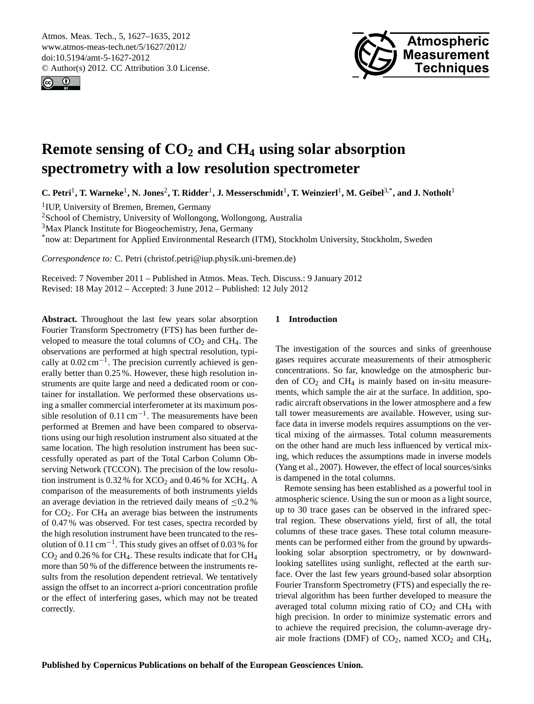<span id="page-0-0"></span>Atmos. Meas. Tech., 5, 1627–1635, 2012 www.atmos-meas-tech.net/5/1627/2012/ doi:10.5194/amt-5-1627-2012 © Author(s) 2012. CC Attribution 3.0 License.





# **Remote sensing of CO<sup>2</sup> and CH<sup>4</sup> using solar absorption spectrometry with a low resolution spectrometer**

**C. Petri<sup>1</sup>, T. Warneke<sup>1</sup>, N. Jones<sup>2</sup>, T. Ridder<sup>1</sup>, J. Messerschmidt<sup>1</sup>, T. Weinzierl<sup>1</sup>, M. Geibel<sup>3,\*</sup>, and J. Notholt<sup>1</sup>** 

1 IUP, University of Bremen, Bremen, Germany

<sup>2</sup>School of Chemistry, University of Wollongong, Wollongong, Australia

<sup>3</sup>Max Planck Institute for Biogeochemistry, Jena, Germany

\*now at: Department for Applied Environmental Research (ITM), Stockholm University, Stockholm, Sweden

*Correspondence to:* C. Petri (christof.petri@iup.physik.uni-bremen.de)

Received: 7 November 2011 – Published in Atmos. Meas. Tech. Discuss.: 9 January 2012 Revised: 18 May 2012 – Accepted: 3 June 2012 – Published: 12 July 2012

**Abstract.** Throughout the last few years solar absorption Fourier Transform Spectrometry (FTS) has been further developed to measure the total columns of  $CO<sub>2</sub>$  and  $CH<sub>4</sub>$ . The observations are performed at high spectral resolution, typically at 0.02 cm<sup>-1</sup>. The precision currently achieved is generally better than 0.25 %. However, these high resolution instruments are quite large and need a dedicated room or container for installation. We performed these observations using a smaller commercial interferometer at its maximum possible resolution of  $0.11 \text{ cm}^{-1}$ . The measurements have been performed at Bremen and have been compared to observations using our high resolution instrument also situated at the same location. The high resolution instrument has been successfully operated as part of the Total Carbon Column Observing Network (TCCON). The precision of the low resolution instrument is  $0.32\%$  for XCO<sub>2</sub> and  $0.46\%$  for XCH<sub>4</sub>. A comparison of the measurements of both instruments yields an average deviation in the retrieved daily means of  $\leq 0.2$ % for  $CO<sub>2</sub>$ . For CH<sub>4</sub> an average bias between the instruments of 0.47 % was observed. For test cases, spectra recorded by the high resolution instrument have been truncated to the resolution of 0.11 cm−<sup>1</sup> . This study gives an offset of 0.03 % for  $CO<sub>2</sub>$  and 0.26 % for CH<sub>4</sub>. These results indicate that for CH<sub>4</sub> more than 50 % of the difference between the instruments results from the resolution dependent retrieval. We tentatively assign the offset to an incorrect a-priori concentration profile or the effect of interfering gases, which may not be treated correctly.

# **1 Introduction**

The investigation of the sources and sinks of greenhouse gases requires accurate measurements of their atmospheric concentrations. So far, knowledge on the atmospheric burden of  $CO<sub>2</sub>$  and  $CH<sub>4</sub>$  is mainly based on in-situ measurements, which sample the air at the surface. In addition, sporadic aircraft observations in the lower atmosphere and a few tall tower measurements are available. However, using surface data in inverse models requires assumptions on the vertical mixing of the airmasses. Total column measurements on the other hand are much less influenced by vertical mixing, which reduces the assumptions made in inverse models [\(Yang et al.,](#page-8-0) [2007\)](#page-8-0). However, the effect of local sources/sinks is dampened in the total columns.

Remote sensing has been established as a powerful tool in atmospheric science. Using the sun or moon as a light source, up to 30 trace gases can be observed in the infrared spectral region. These observations yield, first of all, the total columns of these trace gases. These total column measurements can be performed either from the ground by upwardslooking solar absorption spectrometry, or by downwardlooking satellites using sunlight, reflected at the earth surface. Over the last few years ground-based solar absorption Fourier Transform Spectrometry (FTS) and especially the retrieval algorithm has been further developed to measure the averaged total column mixing ratio of  $CO<sub>2</sub>$  and  $CH<sub>4</sub>$  with high precision. In order to minimize systematic errors and to achieve the required precision, the column-average dryair mole fractions (DMF) of  $CO<sub>2</sub>$ , named  $XCO<sub>2</sub>$  and  $CH<sub>4</sub>$ ,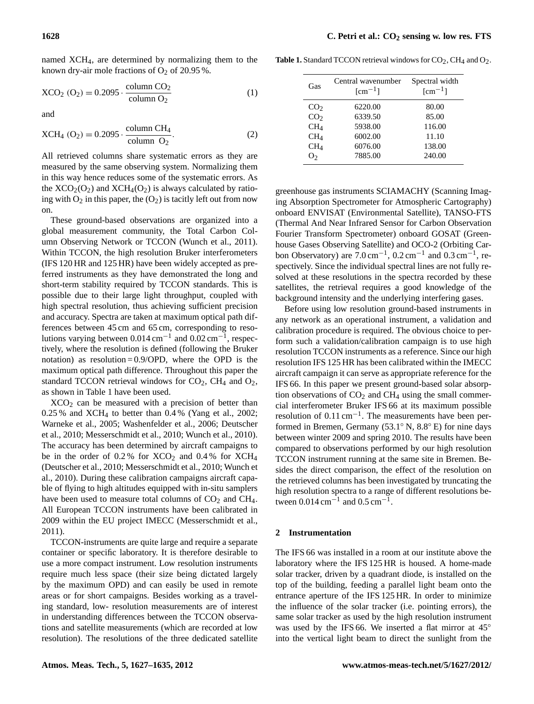named XCH4, are determined by normalizing them to the known dry-air mole fractions of  $O_2$  of 20.95%.

$$
XCO2 (O2) = 0.2095 \cdot \frac{\text{column } CO2}{\text{column } O2}
$$
 (1)

and

XCH<sub>4</sub> (O<sub>2</sub>) = 0.2095 
$$
\cdot \frac{\text{column CH}_4}{\text{column O}_2}
$$
. (2)

All retrieved columns share systematic errors as they are measured by the same observing system. Normalizing them in this way hence reduces some of the systematic errors. As the  $XCO<sub>2</sub>(O<sub>2</sub>)$  and  $XCH<sub>4</sub>(O<sub>2</sub>)$  is always calculated by ratioing with  $O_2$  in this paper, the  $(O_2)$  is tacitly left out from now on.

These ground-based observations are organized into a global measurement community, the Total Carbon Column Observing Network or TCCON [\(Wunch et al.,](#page-8-1) [2011\)](#page-8-1). Within TCCON, the high resolution Bruker interferometers (IFS 120 HR and 125 HR) have been widely accepted as preferred instruments as they have demonstrated the long and short-term stability required by TCCON standards. This is possible due to their large light throughput, coupled with high spectral resolution, thus achieving sufficient precision and accuracy. Spectra are taken at maximum optical path differences between 45 cm and 65 cm, corresponding to resolutions varying between  $0.014 \text{ cm}^{-1}$  and  $0.02 \text{ cm}^{-1}$ , respectively, where the resolution is defined (following the Bruker notation) as resolution =  $0.9$ /OPD, where the OPD is the maximum optical path difference. Throughout this paper the standard TCCON retrieval windows for  $CO<sub>2</sub>$ , CH<sub>4</sub> and  $O<sub>2</sub>$ , as shown in Table [1](#page-1-0) have been used.

 $XCO<sub>2</sub>$  can be measured with a precision of better than  $0.25\%$  and XCH<sub>4</sub> to better than  $0.4\%$  [\(Yang et al.,](#page-8-2) [2002;](#page-8-2) [Warneke et al.,](#page-8-3) [2005;](#page-8-3) [Washenfelder et al.,](#page-8-4) [2006;](#page-8-4) [Deutscher](#page-8-5) [et al.,](#page-8-5) [2010;](#page-8-5) [Messerschmidt et al.,](#page-8-6) [2010;](#page-8-6) [Wunch et al.,](#page-8-7) [2010\)](#page-8-7). The accuracy has been determined by aircraft campaigns to be in the order of  $0.2\%$  for  $XCO<sub>2</sub>$  and  $0.4\%$  for  $XCH<sub>4</sub>$ [\(Deutscher et al.,](#page-8-5) [2010;](#page-8-5) [Messerschmidt et al.,](#page-8-6) [2010;](#page-8-6) [Wunch et](#page-8-7) [al.,](#page-8-7) [2010\)](#page-8-7). During these calibration campaigns aircraft capable of flying to high altitudes equipped with in-situ samplers have been used to measure total columns of  $CO<sub>2</sub>$  and  $CH<sub>4</sub>$ . All European TCCON instruments have been calibrated in 2009 within the EU project IMECC [\(Messerschmidt et al.,](#page-8-8) [2011\)](#page-8-8).

TCCON-instruments are quite large and require a separate container or specific laboratory. It is therefore desirable to use a more compact instrument. Low resolution instruments require much less space (their size being dictated largely by the maximum OPD) and can easily be used in remote areas or for short campaigns. Besides working as a traveling standard, low- resolution measurements are of interest in understanding differences between the TCCON observations and satellite measurements (which are recorded at low resolution). The resolutions of the three dedicated satellite

**Table 1.** Standard TCCON retrieval windows for  $CO_2$ ,  $CH_4$  and  $O_2$ .

<span id="page-1-0"></span>

| Gas             | Central wavenumber<br>$\lceil$ cm <sup>-1</sup> | Spectral width<br>$\lceil$ cm <sup>-1</sup> $\rceil$ |
|-----------------|-------------------------------------------------|------------------------------------------------------|
| CO <sub>2</sub> | 6220.00                                         | 80.00                                                |
| CO <sub>2</sub> | 6339.50                                         | 85.00                                                |
| CH <sub>4</sub> | 5938.00                                         | 116.00                                               |
| $CH_4$          | 6002.00                                         | 11.10                                                |
| CH <sub>4</sub> | 6076.00                                         | 138.00                                               |
| ი,              | 7885.00                                         | 240.00                                               |

greenhouse gas instruments SCIAMACHY (Scanning Imaging Absorption Spectrometer for Atmospheric Cartography) onboard ENVISAT (Environmental Satellite), TANSO-FTS (Thermal And Near Infrared Sensor for Carbon Observation Fourier Transform Spectrometer) onboard GOSAT (Greenhouse Gases Observing Satellite) and OCO-2 (Orbiting Carbon Observatory) are  $7.0 \text{ cm}^{-1}$ ,  $0.2 \text{ cm}^{-1}$  and  $0.3 \text{ cm}^{-1}$ , respectively. Since the individual spectral lines are not fully resolved at these resolutions in the spectra recorded by these satellites, the retrieval requires a good knowledge of the background intensity and the underlying interfering gases.

Before using low resolution ground-based instruments in any network as an operational instrument, a validation and calibration procedure is required. The obvious choice to perform such a validation/calibration campaign is to use high resolution TCCON instruments as a reference. Since our high resolution IFS 125 HR has been calibrated within the IMECC aircraft campaign it can serve as appropriate reference for the IFS 66. In this paper we present ground-based solar absorption observations of  $CO<sub>2</sub>$  and  $CH<sub>4</sub>$  using the small commercial interferometer Bruker IFS 66 at its maximum possible resolution of 0.11 cm<sup>-1</sup>. The measurements have been performed in Bremen, Germany (53.1◦ N, 8.8◦ E) for nine days between winter 2009 and spring 2010. The results have been compared to observations performed by our high resolution TCCON instrument running at the same site in Bremen. Besides the direct comparison, the effect of the resolution on the retrieved columns has been investigated by truncating the high resolution spectra to a range of different resolutions between  $0.014 \text{ cm}^{-1}$  and  $0.5 \text{ cm}^{-1}$ .

## **2 Instrumentation**

The IFS 66 was installed in a room at our institute above the laboratory where the IFS 125 HR is housed. A home-made solar tracker, driven by a quadrant diode, is installed on the top of the building, feeding a parallel light beam onto the entrance aperture of the IFS 125 HR. In order to minimize the influence of the solar tracker (i.e. pointing errors), the same solar tracker as used by the high resolution instrument was used by the IFS 66. We inserted a flat mirror at 45<sup>°</sup> into the vertical light beam to direct the sunlight from the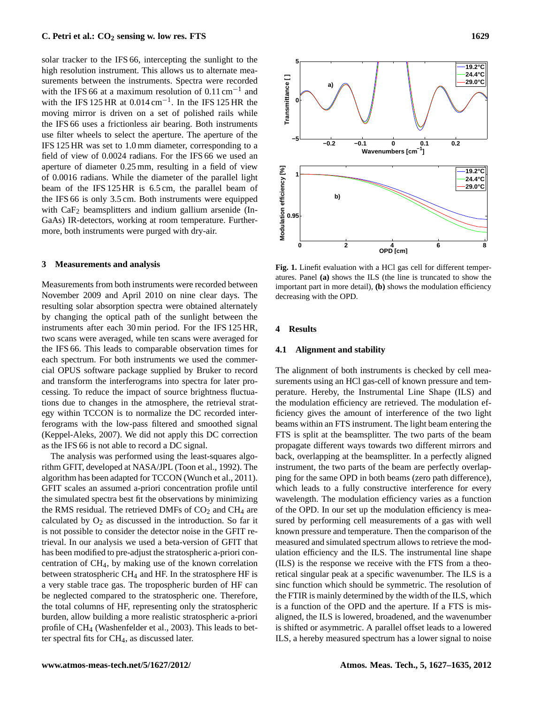solar tracker to the IFS 66, intercepting the sunlight to the high resolution instrument. This allows us to alternate measurements between the instruments. Spectra were recorded with the IFS 66 at a maximum resolution of  $0.11 \text{ cm}^{-1}$  and with the IFS 125 HR at  $0.014 \text{ cm}^{-1}$ . In the IFS 125 HR the moving mirror is driven on a set of polished rails while the IFS 66 uses a frictionless air bearing. Both instruments use filter wheels to select the aperture. The aperture of the IFS 125 HR was set to 1.0 mm diameter, corresponding to a field of view of 0.0024 radians. For the IFS 66 we used an aperture of diameter 0.25 mm, resulting in a field of view of 0.0016 radians. While the diameter of the parallel light beam of the IFS 125 HR is 6.5 cm, the parallel beam of the IFS 66 is only 3.5 cm. Both instruments were equipped with  $CaF<sub>2</sub>$  beamsplitters and indium gallium arsenide (In-GaAs) IR-detectors, working at room temperature. Furthermore, both instruments were purged with dry-air.

#### **3 Measurements and analysis**

Measurements from both instruments were recorded between November 2009 and April 2010 on nine clear days. The resulting solar absorption spectra were obtained alternately by changing the optical path of the sunlight between the instruments after each 30 min period. For the IFS 125 HR, two scans were averaged, while ten scans were averaged for the IFS 66. This leads to comparable observation times for each spectrum. For both instruments we used the commercial OPUS software package supplied by Bruker to record and transform the interferograms into spectra for later processing. To reduce the impact of source brightness fluctuations due to changes in the atmosphere, the retrieval strategy within TCCON is to normalize the DC recorded interferograms with the low-pass filtered and smoothed signal [\(Keppel-Aleks,](#page-8-9) [2007\)](#page-8-9). We did not apply this DC correction as the IFS 66 is not able to record a DC signal.

The analysis was performed using the least-squares algorithm GFIT, developed at NASA/JPL [\(Toon et al.,](#page-8-10) [1992\)](#page-8-10). The algorithm has been adapted for TCCON [\(Wunch et al.,](#page-8-1) [2011\)](#page-8-1). GFIT scales an assumed a-priori concentration profile until the simulated spectra best fit the observations by minimizing the RMS residual. The retrieved DMFs of  $CO<sub>2</sub>$  and  $CH<sub>4</sub>$  are calculated by  $O_2$  as discussed in the introduction. So far it is not possible to consider the detector noise in the GFIT retrieval. In our analysis we used a beta-version of GFIT that has been modified to pre-adjust the stratospheric a-priori concentration of CH4, by making use of the known correlation between stratospheric CH<sup>4</sup> and HF. In the stratosphere HF is a very stable trace gas. The tropospheric burden of HF can be neglected compared to the stratospheric one. Therefore, the total columns of HF, representing only the stratospheric burden, allow building a more realistic stratospheric a-priori profile of CH<sup>4</sup> [\(Washenfelder et al.,](#page-8-11) [2003\)](#page-8-11). This leads to better spectral fits for CH4, as discussed later.



<span id="page-2-0"></span>**Fig. 1.** Linefit evaluation with a HCl gas cell for different temperatures. Panel **(a)** shows the ILS (the line is truncated to show the important part in more detail), **(b)** shows the modulation efficiency decreasing with the OPD.

#### **4 Results**

## **4.1 Alignment and stability**

The alignment of both instruments is checked by cell measurements using an HCl gas-cell of known pressure and temperature. Hereby, the Instrumental Line Shape (ILS) and the modulation efficiency are retrieved. The modulation efficiency gives the amount of interference of the two light beams within an FTS instrument. The light beam entering the FTS is split at the beamsplitter. The two parts of the beam propagate different ways towards two different mirrors and back, overlapping at the beamsplitter. In a perfectly aligned instrument, the two parts of the beam are perfectly overlapping for the same OPD in both beams (zero path difference), which leads to a fully constructive interference for every wavelength. The modulation efficiency varies as a function of the OPD. In our set up the modulation efficiency is measured by performing cell measurements of a gas with well known pressure and temperature. Then the comparison of the measured and simulated spectrum allows to retrieve the modulation efficiency and the ILS. The instrumental line shape (ILS) is the response we receive with the FTS from a theoretical singular peak at a specific wavenumber. The ILS is a sinc function which should be symmetric. The resolution of the FTIR is mainly determined by the width of the ILS, which is a function of the OPD and the aperture. If a FTS is misaligned, the ILS is lowered, broadened, and the wavenumber is shifted or asymmetric. A parallel offset leads to a lowered ILS, a hereby measured spectrum has a lower signal to noise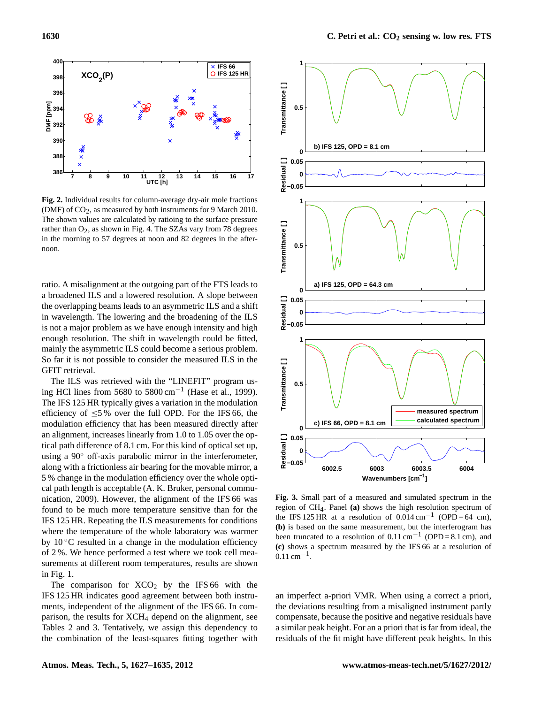

<span id="page-3-1"></span>**Fig. 2.** Individual results for column-average dry-air mole fractions (DMF) of  $CO<sub>2</sub>$ , as measured by both instruments for 9 March 2010. The shown values are calculated by ratioing to the surface pressure rather than  $O_2$ , as shown in Fig. [4.](#page-4-0) The SZAs vary from 78 degrees in the morning to 57 degrees at noon and 82 degrees in the afternoon.

ratio. A misalignment at the outgoing part of the FTS leads to a broadened ILS and a lowered resolution. A slope between the overlapping beams leads to an asymmetric ILS and a shift in wavelength. The lowering and the broadening of the ILS is not a major problem as we have enough intensity and high enough resolution. The shift in wavelength could be fitted, mainly the asymmetric ILS could become a serious problem. So far it is not possible to consider the measured ILS in the GFIT retrieval.

The ILS was retrieved with the "LINEFIT" program using HCl lines from 5680 to 5800 cm−<sup>1</sup> [\(Hase et al.,](#page-8-12) [1999\)](#page-8-12). The IFS 125 HR typically gives a variation in the modulation efficiency of  $\leq$ 5% over the full OPD. For the IFS 66, the modulation efficiency that has been measured directly after an alignment, increases linearly from 1.0 to 1.05 over the optical path difference of 8.1 cm. For this kind of optical set up, using a 90° off-axis parabolic mirror in the interferometer, along with a frictionless air bearing for the movable mirror, a 5 % change in the modulation efficiency over the whole optical path length is acceptable (A. K. Bruker, personal communication, 2009). However, the alignment of the IFS 66 was found to be much more temperature sensitive than for the IFS 125 HR. Repeating the ILS measurements for conditions where the temperature of the whole laboratory was warmer by  $10^{\circ}$ C resulted in a change in the modulation efficiency of 2 %. We hence performed a test where we took cell measurements at different room temperatures, results are shown in Fig. [1.](#page-2-0)

The comparison for  $XCO<sub>2</sub>$  by the IFS 66 with the IFS 125 HR indicates good agreement between both instruments, independent of the alignment of the IFS 66. In comparison, the results for XCH<sup>4</sup> depend on the alignment, see Tables [2](#page-5-0) and [3.](#page-5-1) Tentatively, we assign this dependency to the combination of the least-squares fitting together with



<span id="page-3-0"></span>**Fig. 3.** Small part of a measured and simulated spectrum in the region of CH4. Panel **(a)** shows the high resolution spectrum of the IFS 125 HR at a resolution of  $0.014 \text{ cm}^{-1}$  (OPD = 64 cm), **(b)** is based on the same measurement, but the interferogram has been truncated to a resolution of  $0.11 \text{ cm}^{-1}$  (OPD = 8.1 cm), and **(c)** shows a spectrum measured by the IFS 66 at a resolution of  $0.11$  cm<sup>-1</sup>.

an imperfect a-priori VMR. When using a correct a priori, the deviations resulting from a misaligned instrument partly compensate, because the positive and negative residuals have a similar peak height. For an a priori that is far from ideal, the residuals of the fit might have different peak heights. In this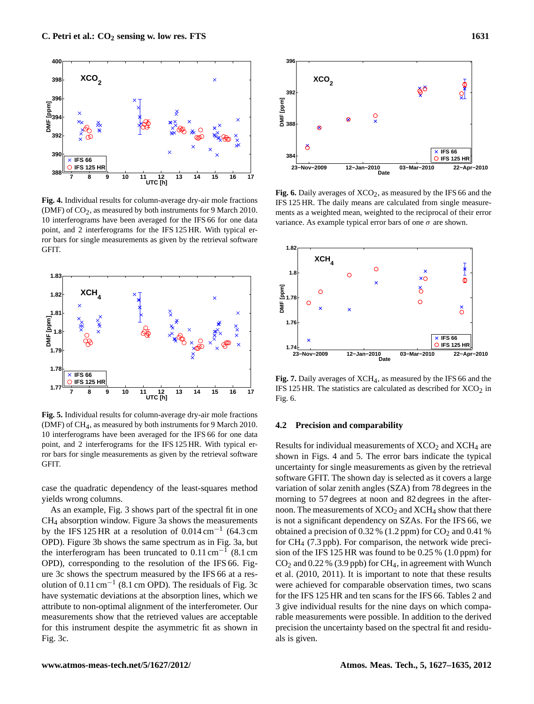

<span id="page-4-0"></span>**Fig. 4.** Individual results for column-average dry-air mole fractions (DMF) of  $CO<sub>2</sub>$ , as measured by both instruments for 9 March 2010. 10 interferograms have been averaged for the IFS 66 for one data point, and 2 interferograms for the IFS 125 HR. With typical error bars for single measurements as given by the retrieval software GFIT.



<span id="page-4-2"></span>**Fig. 5.** Individual results for column-average dry-air mole fractions (DMF) of CH4, as measured by both instruments for 9 March 2010. 10 interferograms have been averaged for the IFS 66 for one data point, and 2 interferograms for the IFS 125 HR. With typical error bars for single measurements as given by the retrieval software GFIT.

case the quadratic dependency of the least-squares method yields wrong columns.

As an example, Fig. [3](#page-3-0) shows part of the spectral fit in one CH<sup>4</sup> absorption window. Figure [3a](#page-3-0) shows the measurements by the IFS 125 HR at a resolution of  $0.014 \text{ cm}^{-1}$  (64.3 cm OPD). Figure [3b](#page-3-0) shows the same spectrum as in Fig. [3a](#page-3-0), but the interferogram has been truncated to  $0.11 \text{ cm}^{-1}$  (8.1 cm OPD), corresponding to the resolution of the IFS 66. Figure [3c](#page-3-0) shows the spectrum measured by the IFS 66 at a resolution of  $0.11 \text{ cm}^{-1}$  (8.1 cm OPD). The residuals of Fig. [3c](#page-3-0) have systematic deviations at the absorption lines, which we attribute to non-optimal alignment of the interferometer. Our measurements show that the retrieved values are acceptable for this instrument despite the asymmetric fit as shown in Fig. [3c](#page-3-0).



<span id="page-4-1"></span>Fig. 6. Daily averages of XCO<sub>2</sub>, as measured by the IFS 66 and the IFS 125 HR. The daily means are calculated from single measurements as a weighted mean, weighted to the reciprocal of their error variance. As example typical error bars of one  $\sigma$  are shown.



<span id="page-4-3"></span>Fig. 7. Daily averages of XCH<sub>4</sub>, as measured by the IFS 66 and the IFS 125 HR. The statistics are calculated as described for  $XCO<sub>2</sub>$  in Fig. [6.](#page-4-1)

#### **4.2 Precision and comparability**

Results for individual measurements of  $XCO<sub>2</sub>$  and  $XCH<sub>4</sub>$  are shown in Figs. [4](#page-4-0) and [5.](#page-4-2) The error bars indicate the typical uncertainty for single measurements as given by the retrieval software GFIT. The shown day is selected as it covers a large variation of solar zenith angles (SZA) from 78 degrees in the morning to 57 degrees at noon and 82 degrees in the afternoon. The measurements of  $XCO<sub>2</sub>$  and  $XCH<sub>4</sub>$  show that there is not a significant dependency on SZAs. For the IFS 66, we obtained a precision of  $0.32\%$  (1.2 ppm) for  $CO<sub>2</sub>$  and  $0.41\%$ for CH<sup>4</sup> (7.3 ppb). For comparison, the network wide precision of the IFS 125 HR was found to be 0.25 % (1.0 ppm) for  $CO<sub>2</sub>$  and 0.22 % (3.9 ppb) for CH<sub>4</sub>, in agreement with [Wunch](#page-8-7) [et al.](#page-8-7) [\(2010,](#page-8-7) [2011\)](#page-8-1). It is important to note that these results were achieved for comparable observation times, two scans for the IFS 125 HR and ten scans for the IFS 66. Tables [2](#page-5-0) and [3](#page-5-1) give individual results for the nine days on which comparable measurements were possible. In addition to the derived precision the uncertainty based on the spectral fit and residuals is given.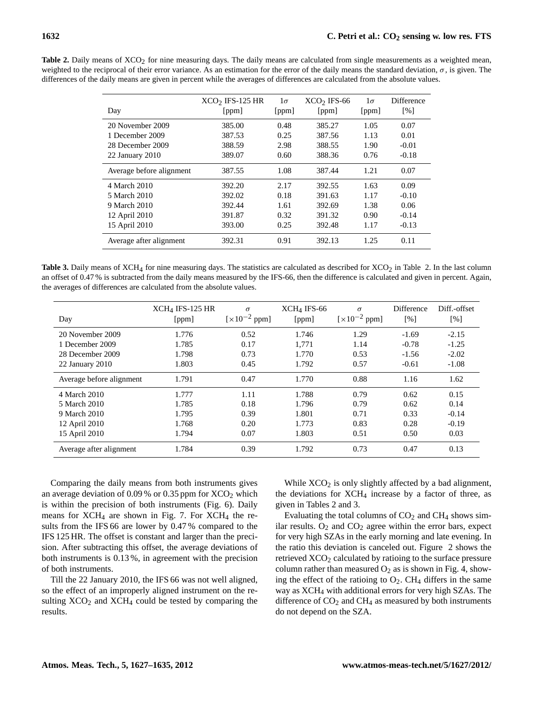| Day                      | $XCO2$ IFS-125 HR<br>[ppm] | $1\sigma$<br>[ppm] | $XCO2$ IFS-66<br>[ppm] | $1\sigma$<br>[ppm] | Difference<br>$\lceil\% \rceil$ |
|--------------------------|----------------------------|--------------------|------------------------|--------------------|---------------------------------|
| 20 November 2009         | 385.00                     | 0.48               | 385.27                 | 1.05               | 0.07                            |
| 1 December 2009          | 387.53                     | 0.25               | 387.56                 | 1.13               | 0.01                            |
| 28 December 2009         | 388.59                     | 2.98               | 388.55                 | 1.90               | $-0.01$                         |
| 22 January 2010          | 389.07                     | 0.60               | 388.36                 | 0.76               | $-0.18$                         |
| Average before alignment | 387.55                     | 1.08               | 387.44                 | 1.21               | 0.07                            |
| 4 March 2010             | 392.20                     | 2.17               | 392.55                 | 1.63               | 0.09                            |
| 5 March 2010             | 392.02                     | 0.18               | 391.63                 | 1.17               | $-0.10$                         |
| 9 March 2010             | 392.44                     | 1.61               | 392.69                 | 1.38               | 0.06                            |
| 12 April 2010            | 391.87                     | 0.32               | 391.32                 | 0.90               | $-0.14$                         |
| 15 April 2010            | 393.00                     | 0.25               | 392.48                 | 1.17               | $-0.13$                         |
| Average after alignment  | 392.31                     | 0.91               | 392.13                 | 1.25               | 0.11                            |

<span id="page-5-0"></span>Table 2. Daily means of XCO<sub>2</sub> for nine measuring days. The daily means are calculated from single measurements as a weighted mean, weighted to the reciprocal of their error variance. As an estimation for the error of the daily means the standard deviation,  $\sigma$ , is given. The differences of the daily means are given in percent while the averages of differences are calculated from the absolute values.

<span id="page-5-1"></span>Table 3. Daily means of XCH<sub>4</sub> for nine measuring days. The statistics are calculated as described for XCO<sub>2</sub> in Table [2.](#page-5-0) In the last column an offset of 0.47 % is subtracted from the daily means measured by the IFS-66, then the difference is calculated and given in percent. Again, the averages of differences are calculated from the absolute values.

|                          | $XCH4$ IFS-125 HR | $\sigma$                | $XCH4$ IFS-66 | $\sigma$                                   | <b>Difference</b> | Diff.-offset |
|--------------------------|-------------------|-------------------------|---------------|--------------------------------------------|-------------------|--------------|
| Day                      | [ppm]             | [ $\times 10^{-2}$ ppm] | [ppm]         | $\lceil \times 10^{-2} \text{ ppm} \rceil$ | $\lceil\% \rceil$ | [%]          |
| 20 November 2009         | 1.776             | 0.52                    | 1.746         | 1.29                                       | $-1.69$           | $-2.15$      |
| 1 December 2009          | 1.785             | 0.17                    | 1.771         | 1.14                                       | $-0.78$           | $-1.25$      |
| 28 December 2009         | 1.798             | 0.73                    | 1.770         | 0.53                                       | $-1.56$           | $-2.02$      |
| 22 January 2010          | 1.803             | 0.45                    | 1.792         | 0.57                                       | $-0.61$           | $-1.08$      |
| Average before alignment | 1.791             | 0.47                    | 1.770         | 0.88                                       | 1.16              | 1.62         |
| 4 March 2010             | 1.777             | 1.11                    | 1.788         | 0.79                                       | 0.62              | 0.15         |
| 5 March 2010             | 1.785             | 0.18                    | 1.796         | 0.79                                       | 0.62              | 0.14         |
| 9 March 2010             | 1.795             | 0.39                    | 1.801         | 0.71                                       | 0.33              | $-0.14$      |
| 12 April 2010            | 1.768             | 0.20                    | 1.773         | 0.83                                       | 0.28              | $-0.19$      |
| 15 April 2010            | 1.794             | 0.07                    | 1.803         | 0.51                                       | 0.50              | 0.03         |
| Average after alignment  | 1.784             | 0.39                    | 1.792         | 0.73                                       | 0.47              | 0.13         |

Comparing the daily means from both instruments gives an average deviation of 0.09 % or 0.35 ppm for  $XCO<sub>2</sub>$  which is within the precision of both instruments (Fig. [6\)](#page-4-1). Daily means for  $XCH_4$  are shown in Fig. [7.](#page-4-3) For  $XCH_4$  the results from the IFS 66 are lower by 0.47 % compared to the IFS 125 HR. The offset is constant and larger than the precision. After subtracting this offset, the average deviations of both instruments is 0.13 %, in agreement with the precision of both instruments.

Till the 22 January 2010, the IFS 66 was not well aligned, so the effect of an improperly aligned instrument on the resulting  $XCO<sub>2</sub>$  and  $XCH<sub>4</sub>$  could be tested by comparing the results.

While  $XCO<sub>2</sub>$  is only slightly affected by a bad alignment, the deviations for  $XCH<sub>4</sub>$  increase by a factor of three, as given in Tables [2](#page-5-0) and [3.](#page-5-1)

Evaluating the total columns of  $CO<sub>2</sub>$  and  $CH<sub>4</sub>$  shows similar results.  $O_2$  and  $CO_2$  agree within the error bars, expect for very high SZAs in the early morning and late evening. In the ratio this deviation is canceled out. Figure [2](#page-3-1) shows the retrieved  $XCO<sub>2</sub>$  calculated by ratioing to the surface pressure column rather than measured  $O_2$  as is shown in Fig. [4,](#page-4-0) showing the effect of the ratioing to  $O_2$ . CH<sub>4</sub> differs in the same way as XCH<sup>4</sup> with additional errors for very high SZAs. The difference of  $CO<sub>2</sub>$  and CH<sub>4</sub> as measured by both instruments do not depend on the SZA.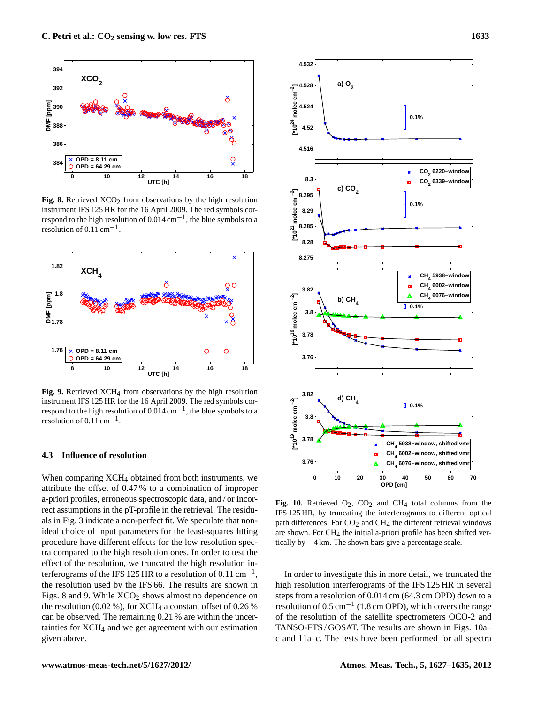

<span id="page-6-0"></span>Fig. 8. Retrieved XCO<sub>2</sub> from observations by the high resolution instrument IFS 125 HR for the 16 April 2009. The red symbols correspond to the high resolution of  $0.014 \text{ cm}^{-1}$ , the blue symbols to a resolution of  $0.11 \text{ cm}^{-1}$ .



<span id="page-6-1"></span>**Fig. 9.** Retrieved XCH4 from observations by the high resolution instrument IFS 125 HR for the 16 April 2009. The red symbols correspond to the high resolution of  $0.014 \text{ cm}^{-1}$ , the blue symbols to a resolution of  $0.11 \text{ cm}^{-1}$ .

# **4.3 Influence of resolution**

When comparing XCH<sup>4</sup> obtained from both instruments, we attribute the offset of 0.47 % to a combination of improper a-priori profiles, erroneous spectroscopic data, and / or incorrect assumptions in the pT-profile in the retrieval. The residuals in Fig. [3](#page-3-0) indicate a non-perfect fit. We speculate that nonideal choice of input parameters for the least-squares fitting procedure have different effects for the low resolution spectra compared to the high resolution ones. In order to test the effect of the resolution, we truncated the high resolution interferograms of the IFS 125 HR to a resolution of  $0.11 \text{ cm}^{-1}$ , the resolution used by the IFS 66. The results are shown in Figs. [8](#page-6-0) and [9.](#page-6-1) While  $XCO<sub>2</sub>$  shows almost no dependence on the resolution (0.02 %), for XCH<sub>4</sub> a constant offset of 0.26 % can be observed. The remaining 0.21 % are within the uncertainties for XCH<sup>4</sup> and we get agreement with our estimation given above.



<span id="page-6-2"></span>Fig. 10. Retrieved  $O_2$ ,  $CO_2$  and  $CH_4$  total columns from the IFS 125 HR, by truncating the interferograms to different optical path differences. For  $CO<sub>2</sub>$  and  $CH<sub>4</sub>$  the different retrieval windows are shown. For  $CH_4$  the initial a-priori profile has been shifted vertically by −4 km. The shown bars give a percentage scale.

In order to investigate this in more detail, we truncated the high resolution interferograms of the IFS 125 HR in several steps from a resolution of 0.014 cm (64.3 cm OPD) down to a resolution of  $0.5 \text{ cm}^{-1}$  (1.8 cm OPD), which covers the range of the resolution of the satellite spectrometers OCO-2 and TANSO-FTS / GOSAT. The results are shown in Figs. [10a](#page-6-2)– c and [11a](#page-7-0)–c. The tests have been performed for all spectra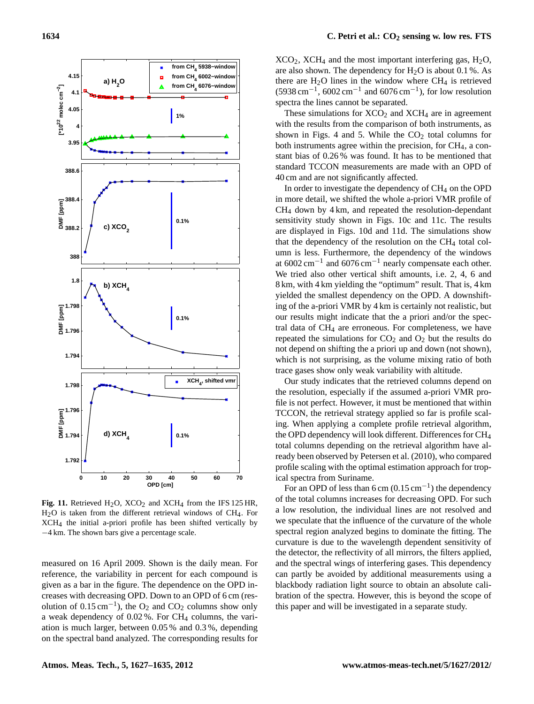

<span id="page-7-0"></span>Fig. 11. Retrieved  $H_2O$ ,  $XCO_2$  and  $XCH_4$  from the IFS 125 HR,  $H<sub>2</sub>O$  is taken from the different retrieval windows of CH<sub>4</sub>. For XCH4 the initial a-priori profile has been shifted vertically by −4 km. The shown bars give a percentage scale.

measured on 16 April 2009. Shown is the daily mean. For reference, the variability in percent for each compound is given as a bar in the figure. The dependence on the OPD increases with decreasing OPD. Down to an OPD of 6 cm (resolution of  $0.15 \text{ cm}^{-1}$ ), the O<sub>2</sub> and CO<sub>2</sub> columns show only a weak dependency of  $0.02$ %. For CH<sub>4</sub> columns, the variation is much larger, between 0.05 % and 0.3 %, depending on the spectral band analyzed. The corresponding results for

 $XCO<sub>2</sub>$ ,  $XCH<sub>4</sub>$  and the most important interfering gas,  $H<sub>2</sub>O$ , are also shown. The dependency for  $H_2O$  is about 0.1 %. As there are  $H_2O$  lines in the window where  $CH_4$  is retrieved  $(5938 \text{ cm}^{-1}, 6002 \text{ cm}^{-1} \text{ and } 6076 \text{ cm}^{-1})$ , for low resolution spectra the lines cannot be separated.

These simulations for  $XCO<sub>2</sub>$  and  $XCH<sub>4</sub>$  are in agreement with the results from the comparison of both instruments, as shown in Figs. [4](#page-4-0) and [5.](#page-4-2) While the  $CO<sub>2</sub>$  total columns for both instruments agree within the precision, for  $CH<sub>4</sub>$ , a constant bias of 0.26 % was found. It has to be mentioned that standard TCCON measurements are made with an OPD of 40 cm and are not significantly affected.

In order to investigate the dependency of CH<sup>4</sup> on the OPD in more detail, we shifted the whole a-priori VMR profile of CH<sup>4</sup> down by 4 km, and repeated the resolution-dependant sensitivity study shown in Figs. [10c](#page-6-2) and [11c](#page-7-0). The results are displayed in Figs. [10d](#page-6-2) and [11d](#page-7-0). The simulations show that the dependency of the resolution on the  $CH<sub>4</sub>$  total column is less. Furthermore, the dependency of the windows at 6002 cm−<sup>1</sup> and 6076 cm−<sup>1</sup> nearly compensate each other. We tried also other vertical shift amounts, i.e. 2, 4, 6 and 8 km, with 4 km yielding the "optimum" result. That is, 4 km yielded the smallest dependency on the OPD. A downshifting of the a-priori VMR by 4 km is certainly not realistic, but our results might indicate that the a priori and/or the spectral data of  $CH<sub>4</sub>$  are erroneous. For completeness, we have repeated the simulations for  $CO<sub>2</sub>$  and  $O<sub>2</sub>$  but the results do not depend on shifting the a priori up and down (not shown), which is not surprising, as the volume mixing ratio of both trace gases show only weak variability with altitude.

Our study indicates that the retrieved columns depend on the resolution, especially if the assumed a-priori VMR profile is not perfect. However, it must be mentioned that within TCCON, the retrieval strategy applied so far is profile scaling. When applying a complete profile retrieval algorithm, the OPD dependency will look different. Differences for CH<sup>4</sup> total columns depending on the retrieval algorithm have already been observed by [Petersen et al.](#page-8-13) [\(2010\)](#page-8-13), who compared profile scaling with the optimal estimation approach for tropical spectra from Suriname.

For an OPD of less than  $6 \text{ cm}$  (0.15 cm<sup>-1</sup>) the dependency of the total columns increases for decreasing OPD. For such a low resolution, the individual lines are not resolved and we speculate that the influence of the curvature of the whole spectral region analyzed begins to dominate the fitting. The curvature is due to the wavelength dependent sensitivity of the detector, the reflectivity of all mirrors, the filters applied, and the spectral wings of interfering gases. This dependency can partly be avoided by additional measurements using a blackbody radiation light source to obtain an absolute calibration of the spectra. However, this is beyond the scope of this paper and will be investigated in a separate study.